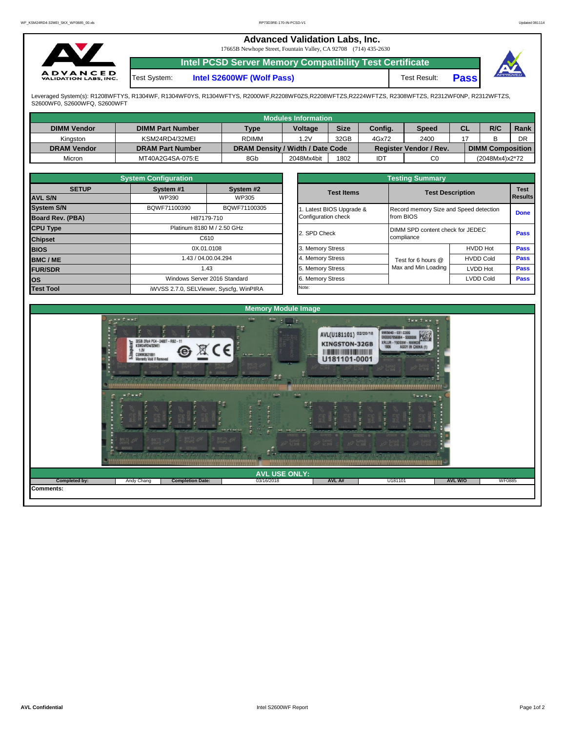|                                                 |              | <b>Advanced Validation Labs, Inc.</b><br>17665B Newhope Street, Fountain Valley, CA 92708 (714) 435-2630 |              |             |  |
|-------------------------------------------------|--------------|----------------------------------------------------------------------------------------------------------|--------------|-------------|--|
|                                                 |              | Intel PCSD Server Memory Compatibility Test Certificate                                                  |              |             |  |
| <b>ADVANCED</b><br><b>VALIDATION LABS, INC.</b> | Test System: | Intel S2600WF (Wolf Pass)                                                                                | Test Result: | <b>Pass</b> |  |

Leveraged System(s): R1208WFTYS, R1304WF, R1304WF0YS, R1304WFTYS, R2000WF,R2208WF0ZS,R2208WFTZS,R2224WFTZS, R2308WFTZS, R2312WF0NP, R2312WFTZS,<br>S2600WF0, S2600WFQ, S2600WFT

|                    |                         |                                  | <b>Modules Information</b> |             |         |                        |    |                         |      |
|--------------------|-------------------------|----------------------------------|----------------------------|-------------|---------|------------------------|----|-------------------------|------|
| <b>DIMM Vendor</b> | <b>DIMM Part Number</b> | <b>Type</b>                      | <b>Voltage</b>             | <b>Size</b> | Config. | <b>Speed</b>           | CL | R/C                     | Rank |
| Kinaston           | KSM24RD4/32MEI          | <b>RDIMM</b>                     | .2V                        | 32GB        | 4Gx72   | 2400                   |    |                         | DR   |
| <b>DRAM Vendor</b> | <b>DRAM Part Number</b> | DRAM Density / Width / Date Code |                            |             |         | Register Vendor / Rev. |    | <b>DIMM Composition</b> |      |
| Micron             | MT40A2G4SA-075:E        | 8Gb                              | 2048Mx4bit                 | 1802        | IDT     | C <sub>0</sub>         |    | (2048Mx4)x2*72          |      |

|                         | <b>System Configuration</b> |                                         |                       | <b>Testing Summary</b>                 |                  |                        |
|-------------------------|-----------------------------|-----------------------------------------|-----------------------|----------------------------------------|------------------|------------------------|
| <b>SETUP</b>            | System #1                   | System #2                               | <b>Test Items</b>     | <b>Test Description</b>                |                  | <b>Test</b><br>Results |
| <b>AVL S/N</b>          | WP390                       | WP305                                   |                       |                                        |                  |                        |
| <b>System S/N</b>       | BQWF71100390                | BQWF71100305                            | Latest BIOS Upgrade & | Record memory Size and Speed detection |                  | <b>Done</b>            |
| <b>Board Rev. (PBA)</b> |                             | H87179-710                              | Configuration check   | from BIOS                              |                  |                        |
| <b>CPU Type</b>         |                             | Platinum 8180 M / 2.50 GHz              | 2. SPD Check          | DIMM SPD content check for JEDEC       |                  | <b>Pass</b>            |
| <b>Chipset</b>          |                             | C610                                    |                       | compliance                             |                  |                        |
| <b>BIOS</b>             |                             | 0X.01.0108                              | 3. Memory Stress      |                                        | <b>HVDD Hot</b>  | Pass                   |
| <b>BMC/ME</b>           |                             | 1.43 / 04.00.04.294                     | 4. Memory Stress      | Test for 6 hours @                     | <b>HVDD Cold</b> | <b>Pass</b>            |
| <b>FUR/SDR</b>          |                             | 1.43                                    | 5. Memory Stress      | Max and Min Loading                    | <b>LVDD Hot</b>  | Pass                   |
| los                     |                             | Windows Server 2016 Standard            | 6. Memory Stress      |                                        | <b>LVDD Cold</b> | <b>Pass</b>            |
| <b>Test Tool</b>        |                             | iWVSS 2.7.0, SELViewer, Syscfq, WinPIRA | Note:                 |                                        |                  |                        |

|              | <b>System Configuration</b> |                                    |                         | <b>Testing Summary</b>                 |                         |                |  |  |  |  |
|--------------|-----------------------------|------------------------------------|-------------------------|----------------------------------------|-------------------------|----------------|--|--|--|--|
| <b>SETUP</b> | System #1                   | System #2                          | <b>Test Items</b>       |                                        | <b>Test Description</b> |                |  |  |  |  |
|              | WP390                       | WP305                              |                         |                                        |                         | <b>Results</b> |  |  |  |  |
|              | BQWF71100390                | BQWF71100305                       | . Latest BIOS Upgrade & | Record memory Size and Speed detection |                         |                |  |  |  |  |
| PBA)         |                             | H87179-710                         | Configuration check     | from BIOS                              |                         | <b>Done</b>    |  |  |  |  |
|              |                             | Platinum 8180 M / 2.50 GHz         | 2. SPD Check            | DIMM SPD content check for JEDEC       |                         | <b>Pass</b>    |  |  |  |  |
|              |                             | C610                               |                         | compliance                             |                         |                |  |  |  |  |
|              |                             | 0X.01.0108                         | 3. Memory Stress        |                                        | <b>HVDD Hot</b>         | <b>Pass</b>    |  |  |  |  |
|              |                             | 1.43 / 04.00.04.294                | 4. Memory Stress        | Test for 6 hours @                     | <b>HVDD Cold</b>        | <b>Pass</b>    |  |  |  |  |
|              |                             | 1.43                               | 5. Memory Stress        | Max and Min Loading                    | LVDD Hot                | <b>Pass</b>    |  |  |  |  |
|              |                             | Windows Server 2016 Standard       | 6. Memory Stress        |                                        | <b>LVDD Cold</b>        | <b>Pass</b>    |  |  |  |  |
|              |                             | iMVSS 270 SELViewer Svecta WinPIRA | Note:                   |                                        |                         |                |  |  |  |  |